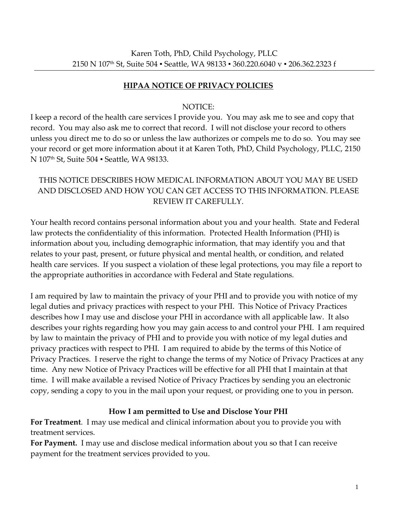### **HIPAA NOTICE OF PRIVACY POLICIES**

#### NOTICE:

I keep a record of the health care services I provide you. You may ask me to see and copy that record. You may also ask me to correct that record. I will not disclose your record to others unless you direct me to do so or unless the law authorizes or compels me to do so. You may see your record or get more information about it at Karen Toth, PhD, Child Psychology, PLLC, 2150 N 107th St, Suite 504 ▪ Seattle, WA 98133.

# THIS NOTICE DESCRIBES HOW MEDICAL INFORMATION ABOUT YOU MAY BE USED AND DISCLOSED AND HOW YOU CAN GET ACCESS TO THIS INFORMATION. PLEASE REVIEW IT CAREFULLY.

Your health record contains personal information about you and your health. State and Federal law protects the confidentiality of this information. Protected Health Information (PHI) is information about you, including demographic information, that may identify you and that relates to your past, present, or future physical and mental health, or condition, and related health care services. If you suspect a violation of these legal protections, you may file a report to the appropriate authorities in accordance with Federal and State regulations.

I am required by law to maintain the privacy of your PHI and to provide you with notice of my legal duties and privacy practices with respect to your PHI. This Notice of Privacy Practices describes how I may use and disclose your PHI in accordance with all applicable law. It also describes your rights regarding how you may gain access to and control your PHI. I am required by law to maintain the privacy of PHI and to provide you with notice of my legal duties and privacy practices with respect to PHI. I am required to abide by the terms of this Notice of Privacy Practices. I reserve the right to change the terms of my Notice of Privacy Practices at any time. Any new Notice of Privacy Practices will be effective for all PHI that I maintain at that time. I will make available a revised Notice of Privacy Practices by sending you an electronic copy, sending a copy to you in the mail upon your request, or providing one to you in person.

### **How I am permitted to Use and Disclose Your PHI**

**For Treatment**. I may use medical and clinical information about you to provide you with treatment services.

**For Payment.** I may use and disclose medical information about you so that I can receive payment for the treatment services provided to you.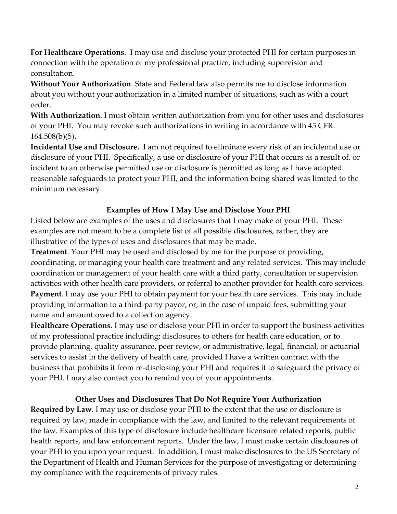**For Healthcare Operations**. I may use and disclose your protected PHI for certain purposes in connection with the operation of my professional practice, including supervision and consultation.

**Without Your Authorization**. State and Federal law also permits me to disclose information about you without your authorization in a limited number of situations, such as with a court order.

**With Authorization**. I must obtain written authorization from you for other uses and disclosures of your PHI. You may revoke such authorizations in writing in accordance with 45 CFR. 164.508(b)(5).

**Incidental Use and Disclosure.** I am not required to eliminate every risk of an incidental use or disclosure of your PHI. Specifically, a use or disclosure of your PHI that occurs as a result of, or incident to an otherwise permitted use or disclosure is permitted as long as I have adopted reasonable safeguards to protect your PHI, and the information being shared was limited to the minimum necessary.

## **Examples of How I May Use and Disclose Your PHI**

Listed below are examples of the uses and disclosures that I may make of your PHI. These examples are not meant to be a complete list of all possible disclosures, rather, they are illustrative of the types of uses and disclosures that may be made.

**Treatment**. Your PHI may be used and disclosed by me for the purpose of providing, coordinating, or managing your health care treatment and any related services. This may include coordination or management of your health care with a third party, consultation or supervision activities with other health care providers, or referral to another provider for health care services. **Payment**. I may use your PHI to obtain payment for your health care services. This may include providing information to a third-party payor, or, in the case of unpaid fees, submitting your name and amount owed to a collection agency.

**Healthcare Operations**. I may use or disclose your PHI in order to support the business activities of my professional practice including; disclosures to others for health care education, or to provide planning, quality assurance, peer review, or administrative, legal, financial, or actuarial services to assist in the delivery of health care, provided I have a written contract with the business that prohibits it from re-disclosing your PHI and requires it to safeguard the privacy of your PHI. I may also contact you to remind you of your appointments.

### **Other Uses and Disclosures That Do Not Require Your Authorization**

**Required by Law**. I may use or disclose your PHI to the extent that the use or disclosure is required by law, made in compliance with the law, and limited to the relevant requirements of the law. Examples of this type of disclosure include healthcare licensure related reports, public health reports, and law enforcement reports. Under the law, I must make certain disclosures of your PHI to you upon your request. In addition, I must make disclosures to the US Secretary of the Department of Health and Human Services for the purpose of investigating or determining my compliance with the requirements of privacy rules.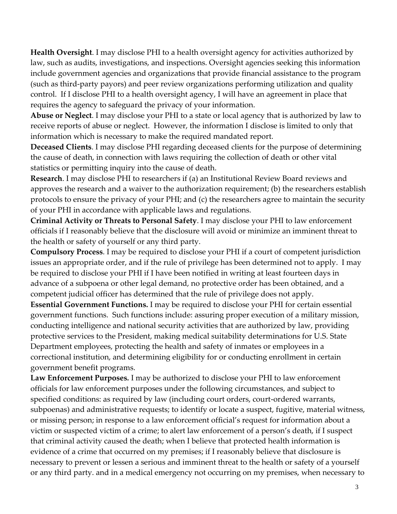**Health Oversight**. I may disclose PHI to a health oversight agency for activities authorized by law, such as audits, investigations, and inspections. Oversight agencies seeking this information include government agencies and organizations that provide financial assistance to the program (such as third-party payors) and peer review organizations performing utilization and quality control. If I disclose PHI to a health oversight agency, I will have an agreement in place that requires the agency to safeguard the privacy of your information.

**Abuse or Neglect**. I may disclose your PHI to a state or local agency that is authorized by law to receive reports of abuse or neglect. However, the information I disclose is limited to only that information which is necessary to make the required mandated report.

**Deceased Clients**. I may disclose PHI regarding deceased clients for the purpose of determining the cause of death, in connection with laws requiring the collection of death or other vital statistics or permitting inquiry into the cause of death.

**Research**. I may disclose PHI to researchers if (a) an Institutional Review Board reviews and approves the research and a waiver to the authorization requirement; (b) the researchers establish protocols to ensure the privacy of your PHI; and (c) the researchers agree to maintain the security of your PHI in accordance with applicable laws and regulations.

**Criminal Activity or Threats to Personal Safety**. I may disclose your PHI to law enforcement officials if I reasonably believe that the disclosure will avoid or minimize an imminent threat to the health or safety of yourself or any third party.

**Compulsory Process**. I may be required to disclose your PHI if a court of competent jurisdiction issues an appropriate order, and if the rule of privilege has been determined not to apply. I may be required to disclose your PHI if I have been notified in writing at least fourteen days in advance of a subpoena or other legal demand, no protective order has been obtained, and a competent judicial officer has determined that the rule of privilege does not apply.

**Essential Government Functions.** I may be required to disclose your PHI for certain essential government functions. Such functions include: assuring proper execution of a military mission, conducting intelligence and national security activities that are authorized by law, providing protective services to the President, making medical suitability determinations for U.S. State Department employees, protecting the health and safety of inmates or employees in a correctional institution, and determining eligibility for or conducting enrollment in certain government benefit programs.

**Law Enforcement Purposes***.* I may be authorized to disclose your PHI to law enforcement officials for law enforcement purposes under the following circumstances, and subject to specified conditions: as required by law (including court orders, court-ordered warrants, subpoenas) and administrative requests; to identify or locate a suspect, fugitive, material witness, or missing person; in response to a law enforcement official's request for information about a victim or suspected victim of a crime; to alert law enforcement of a person's death, if I suspect that criminal activity caused the death; when I believe that protected health information is evidence of a crime that occurred on my premises; if I reasonably believe that disclosure is necessary to prevent or lessen a serious and imminent threat to the health or safety of a yourself or any third party. and in a medical emergency not occurring on my premises, when necessary to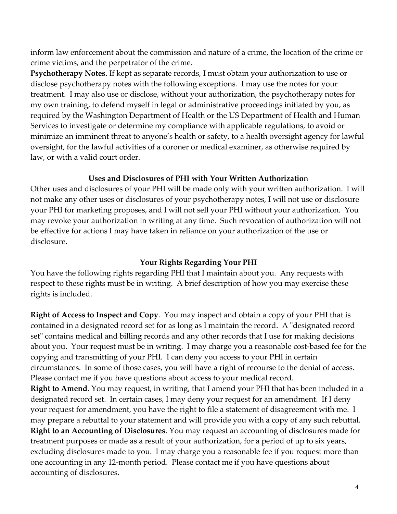inform law enforcement about the commission and nature of a crime, the location of the crime or crime victims, and the perpetrator of the crime.

**Psychotherapy Notes.** If kept as separate records, I must obtain your authorization to use or disclose psychotherapy notes with the following exceptions. I may use the notes for your treatment. I may also use or disclose, without your authorization, the psychotherapy notes for my own training, to defend myself in legal or administrative proceedings initiated by you, as required by the Washington Department of Health or the US Department of Health and Human Services to investigate or determine my compliance with applicable regulations, to avoid or minimize an imminent threat to anyone's health or safety, to a health oversight agency for lawful oversight, for the lawful activities of a coroner or medical examiner, as otherwise required by law, or with a valid court order.

### **Uses and Disclosures of PHI with Your Written Authorizatio**n

Other uses and disclosures of your PHI will be made only with your written authorization. I will not make any other uses or disclosures of your psychotherapy notes, I will not use or disclosure your PHI for marketing proposes, and I will not sell your PHI without your authorization. You may revoke your authorization in writing at any time. Such revocation of authorization will not be effective for actions I may have taken in reliance on your authorization of the use or disclosure.

#### **Your Rights Regarding Your PHI**

You have the following rights regarding PHI that I maintain about you. Any requests with respect to these rights must be in writing. A brief description of how you may exercise these rights is included.

**Right of Access to Inspect and Copy**. You may inspect and obtain a copy of your PHI that is contained in a designated record set for as long as I maintain the record. A "designated record set" contains medical and billing records and any other records that I use for making decisions about you. Your request must be in writing. I may charge you a reasonable cost-based fee for the copying and transmitting of your PHI. I can deny you access to your PHI in certain circumstances. In some of those cases, you will have a right of recourse to the denial of access. Please contact me if you have questions about access to your medical record.

**Right to Amend**. You may request, in writing, that I amend your PHI that has been included in a designated record set. In certain cases, I may deny your request for an amendment. If I deny your request for amendment, you have the right to file a statement of disagreement with me. I may prepare a rebuttal to your statement and will provide you with a copy of any such rebuttal. **Right to an Accounting of Disclosures**. You may request an accounting of disclosures made for treatment purposes or made as a result of your authorization, for a period of up to six years, excluding disclosures made to you. I may charge you a reasonable fee if you request more than one accounting in any 12-month period. Please contact me if you have questions about accounting of disclosures.